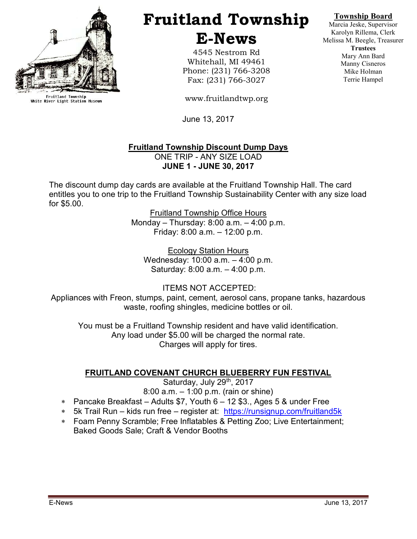

Fruitland Township<br>White River Light Station Museum

# Fruitland Township E-News

4545 Nestrom Rd Whitehall, MI 49461 Phone: (231) 766-3208 Fax: (231) 766-3027

www.fruitlandtwp.org

June 13, 2017

#### Fruitland Township Discount Dump Days ONE TRIP - ANY SIZE LOAD JUNE 1 - JUNE 30, 2017

The discount dump day cards are available at the Fruitland Township Hall. The card entitles you to one trip to the Fruitland Township Sustainability Center with any size load for \$5.00.

> Fruitland Township Office Hours Monday – Thursday: 8:00 a.m. – 4:00 p.m. Friday: 8:00 a.m. – 12:00 p.m.

Ecology Station Hours Wednesday: 10:00 a.m. – 4:00 p.m. Saturday: 8:00 a.m. – 4:00 p.m.

 ITEMS NOT ACCEPTED: Appliances with Freon, stumps, paint, cement, aerosol cans, propane tanks, hazardous waste, roofing shingles, medicine bottles or oil.

You must be a Fruitland Township resident and have valid identification. Any load under \$5.00 will be charged the normal rate. Charges will apply for tires.

## FRUITLAND COVENANT CHURCH BLUEBERRY FUN FESTIVAL

Saturday, July 29th, 2017 8:00 a.m. – 1:00 p.m. (rain or shine)

- Pancake Breakfast Adults \$7, Youth 6 12 \$3., Ages 5 & under Free
- 5k Trail Run kids run free register at: https://runsignup.com/fruitland5k
- Foam Penny Scramble; Free Inflatables & Petting Zoo; Live Entertainment; Baked Goods Sale; Craft & Vendor Booths

Marcia Jeske, Supervisor Karolyn Rillema, Clerk Melissa M. Beegle, Treasurer **Trustees** Mary Ann Bard Manny Cisneros Mike Holman Terrie Hampel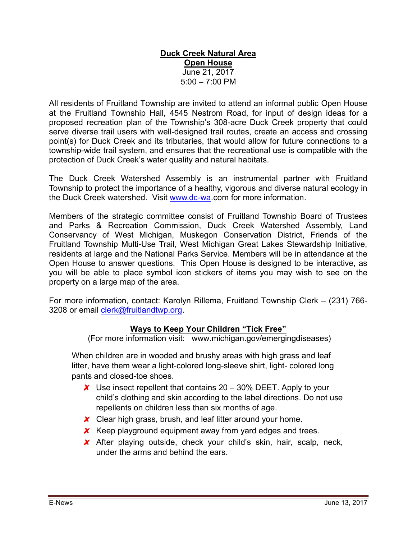#### Duck Creek Natural Area Open House June 21, 2017  $5:00 - 7:00$  PM

All residents of Fruitland Township are invited to attend an informal public Open House at the Fruitland Township Hall, 4545 Nestrom Road, for input of design ideas for a proposed recreation plan of the Township's 308-acre Duck Creek property that could serve diverse trail users with well-designed trail routes, create an access and crossing point(s) for Duck Creek and its tributaries, that would allow for future connections to a township-wide trail system, and ensures that the recreational use is compatible with the protection of Duck Creek's water quality and natural habitats.

The Duck Creek Watershed Assembly is an instrumental partner with Fruitland Township to protect the importance of a healthy, vigorous and diverse natural ecology in the Duck Creek watershed. Visit www.dc-wa.com for more information.

Members of the strategic committee consist of Fruitland Township Board of Trustees and Parks & Recreation Commission, Duck Creek Watershed Assembly, Land Conservancy of West Michigan, Muskegon Conservation District, Friends of the Fruitland Township Multi-Use Trail, West Michigan Great Lakes Stewardship Initiative, residents at large and the National Parks Service. Members will be in attendance at the Open House to answer questions. This Open House is designed to be interactive, as you will be able to place symbol icon stickers of items you may wish to see on the property on a large map of the area.

For more information, contact: Karolyn Rillema, Fruitland Township Clerk – (231) 766- 3208 or email clerk@fruitlandtwp.org.

## Ways to Keep Your Children "Tick Free"

(For more information visit: www.michigan.gov/emergingdiseases)

When children are in wooded and brushy areas with high grass and leaf litter, have them wear a light-colored long-sleeve shirt, light- colored long pants and closed-toe shoes.

- $\chi$  Use insect repellent that contains 20 30% DEET. Apply to your child's clothing and skin according to the label directions. Do not use repellents on children less than six months of age.
- X Clear high grass, brush, and leaf litter around your home.
- $\boldsymbol{\chi}$  Keep playground equipment away from yard edges and trees.
- After playing outside, check your child's skin, hair, scalp, neck, under the arms and behind the ears.